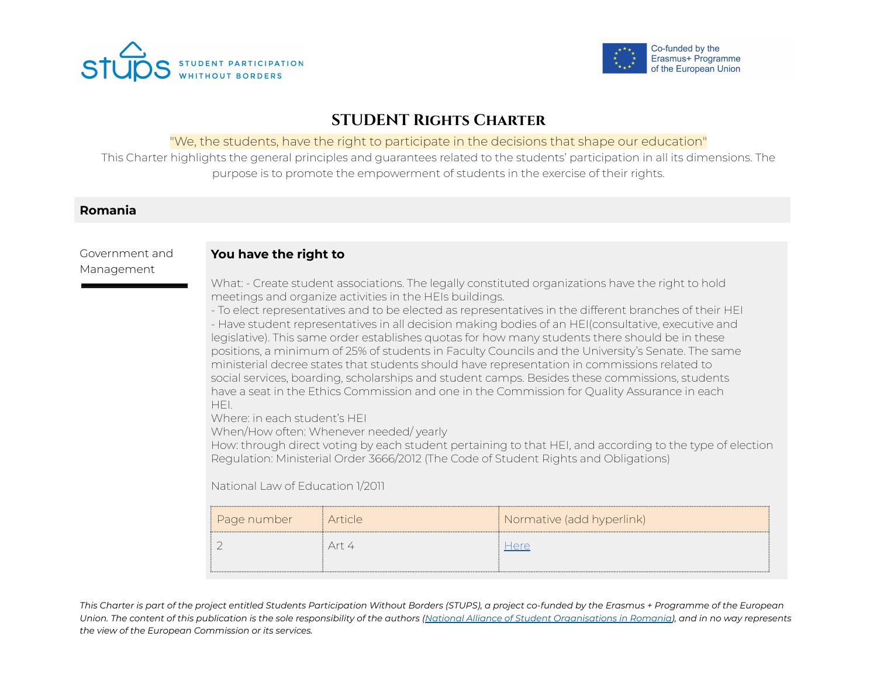



# **STUDENT Rights Charter**

#### "We, the students, have the right to participate in the decisions that shape our education"

This Charter highlights the general principles and guarantees related to the students' participation in all its dimensions. The purpose is to promote the empowerment of students in the exercise of their rights.

# **Romania**

#### Government and Management

# **You have the right to**

What: - Create student associations. The legally constituted organizations have the right to hold meetings and organize activities in the HEIs buildings.

- To elect representatives and to be elected as representatives in the different branches of their HEI - Have student representatives in all decision making bodies of an HEI(consultative, executive and legislative). This same order establishes quotas for how many students there should be in these positions, a minimum of 25% of students in Faculty Councils and the University's Senate. The same ministerial decree states that students should have representation in commissions related to social services, boarding, scholarships and student camps. Besides these commissions, students have a seat in the Ethics Commission and one in the Commission for Quality Assurance in each HEI.

Where: in each student's HEI

When/How often: Whenever needed/ yearly

How: through direct voting by each student pertaining to that HEI, and according to the type of election Regulation: Ministerial Order 3666/2012 (The Code of Student Rights and Obligations)

National Law of Education 1/2011

| Page number | i Article | Normative (add hyperlink) |
|-------------|-----------|---------------------------|
|             | Arr 4     |                           |
|             |           |                           |

This Charter is part of the project entitled Students Participation Without Borders (STUPS), a project co-funded by the Erasmus + Programme of the European Union. The content of this publication is the sole responsibility of the authors (National Alliance of Student [Organisations](https://www.anosr.ro/) in Romania), and in no way represents *the view of the European Commission or its services.*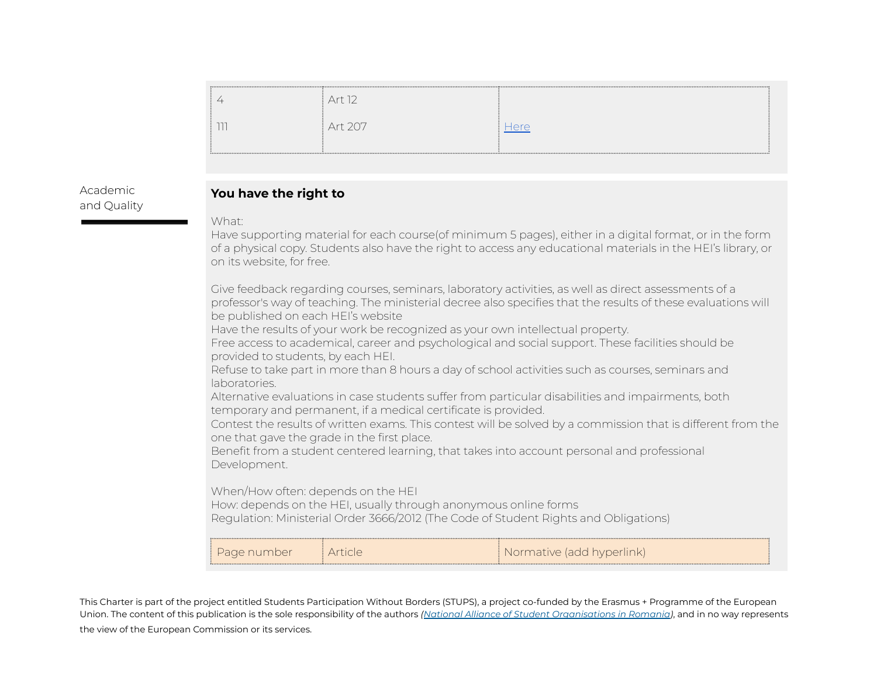| Art 12  |      |
|---------|------|
| Art 207 | dere |
|         |      |

Academic and Quality

# **You have the right to**

What:

Have supporting material for each course(of minimum 5 pages), either in a digital format, or in the form of a physical copy. Students also have the right to access any educational materials in the HEI's library, or on its website, for free.

Give feedback regarding courses, seminars, laboratory activities, as well as direct assessments of a professor's way of teaching. The ministerial decree also specifies that the results of these evaluations will be published on each HEI's website

Have the results of your work be recognized as your own intellectual property.

Free access to academical, career and psychological and social support. These facilities should be provided to students, by each HEI.

Refuse to take part in more than 8 hours a day of school activities such as courses, seminars and laboratories.

Alternative evaluations in case students suffer from particular disabilities and impairments, both temporary and permanent, if a medical certificate is provided.

Contest the results of written exams. This contest will be solved by a commission that is different from the one that gave the grade in the first place.

Benefit from a student centered learning, that takes into account personal and professional Development.

When/How often: depends on the HEI

How: depends on the HEI, usually through anonymous online forms Regulation: Ministerial Order 3666/2012 (The Code of Student Rights and Obligations)

| : Pade number 1 | : Normative (add hyperlink) |
|-----------------|-----------------------------|

This Charter is part of the project entitled Students Participation Without Borders (STUPS), a project co-funded by the Erasmus + Programme of the European Union. The content of this publication is the sole responsibility of the authors *(National Alliance of Student [Organisations](https://www.anosr.ro/) in Romania)*, and in no way represents the view of the European Commission or its services.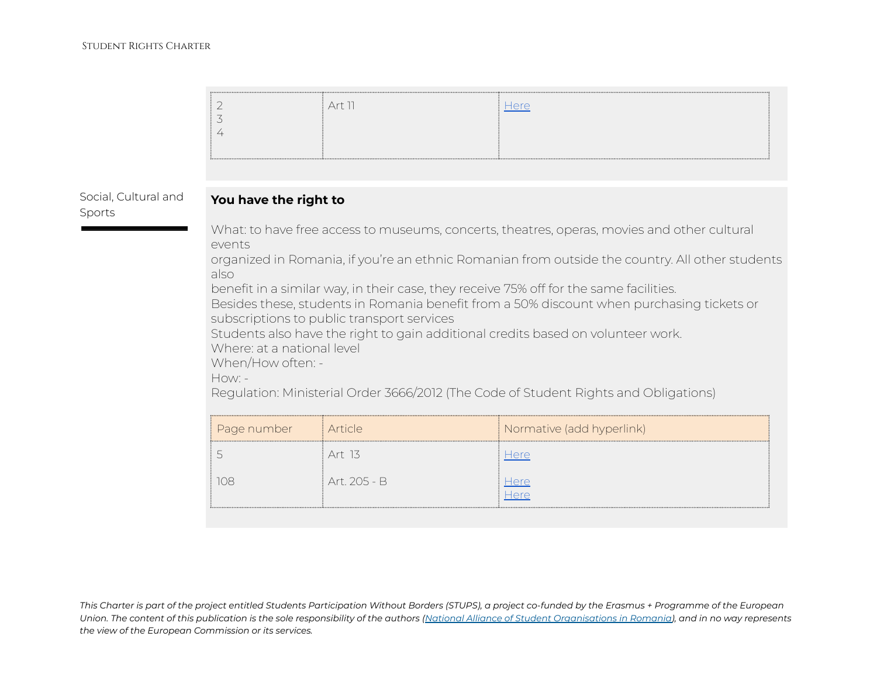|                                | 2<br>3<br>4                                                                                                                                                                                                                                                                                                                                                                                                                                                                                                                                                                                                                                                                                                            | Art 11       | Here                      |
|--------------------------------|------------------------------------------------------------------------------------------------------------------------------------------------------------------------------------------------------------------------------------------------------------------------------------------------------------------------------------------------------------------------------------------------------------------------------------------------------------------------------------------------------------------------------------------------------------------------------------------------------------------------------------------------------------------------------------------------------------------------|--------------|---------------------------|
| Social, Cultural and<br>Sports | You have the right to<br>What: to have free access to museums, concerts, theatres, operas, movies and other cultural<br>events<br>organized in Romania, if you're an ethnic Romanian from outside the country. All other students<br>also<br>benefit in a similar way, in their case, they receive 75% off for the same facilities.<br>Besides these, students in Romania benefit from a 50% discount when purchasing tickets or<br>subscriptions to public transport services<br>Students also have the right to gain additional credits based on volunteer work.<br>Where at a national level<br>When/How often: -<br>How: -<br>Regulation: Ministerial Order 3666/2012 (The Code of Student Rights and Obligations) |              |                           |
|                                | Page number                                                                                                                                                                                                                                                                                                                                                                                                                                                                                                                                                                                                                                                                                                            | Article      | Normative (add hyperlink) |
|                                | 5                                                                                                                                                                                                                                                                                                                                                                                                                                                                                                                                                                                                                                                                                                                      | Art 13       | Here                      |
|                                | 108                                                                                                                                                                                                                                                                                                                                                                                                                                                                                                                                                                                                                                                                                                                    | Art. 205 - B | <b>Here</b><br>Here       |

This Charter is part of the project entitled Students Participation Without Borders (STUPS), a project co-funded by the Erasmus + Programme of the European Union. The content of this publication is the sole responsibility of the authors (National Alliance of Student [Organisations](https://www.anosr.ro/) in Romania), and in no way represents *the view of the European Commission or its services.*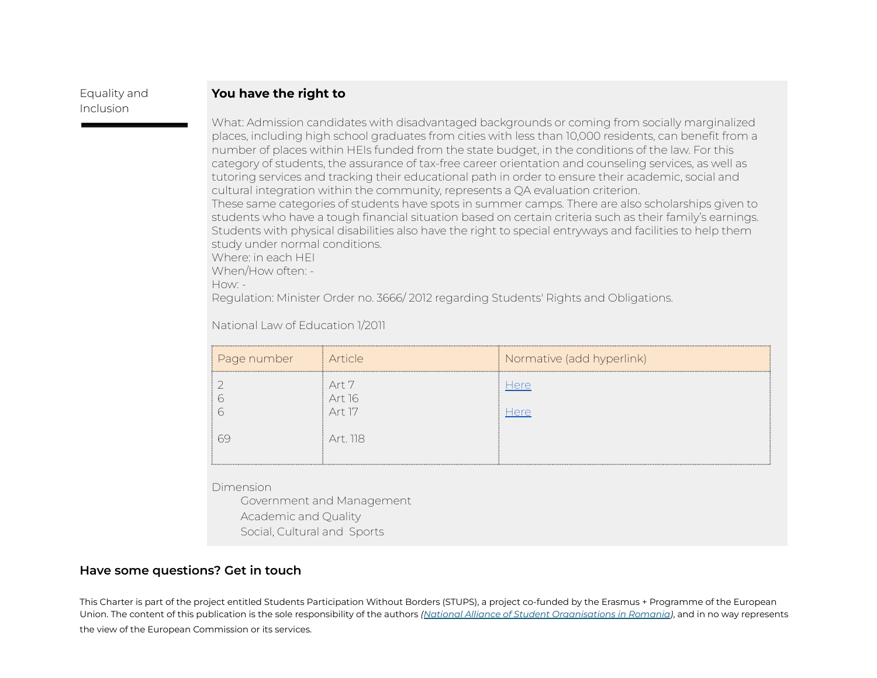# Equality and Inclusion

# **You have the right to**

What: Admission candidates with disadvantaged backgrounds or coming from socially marginalized places, including high school graduates from cities with less than 10,000 residents, can benefit from a number of places within HEIs funded from the state budget, in the conditions of the law. For this category of students, the assurance of tax-free career orientation and counseling services, as well as tutoring services and tracking their educational path in order to ensure their academic, social and cultural integration within the community, represents a QA evaluation criterion. These same categories of students have spots in summer camps. There are also scholarships given to students who have a tough financial situation based on certain criteria such as their family's earnings. Students with physical disabilities also have the right to special entryways and facilities to help them study under normal conditions. Where: in each HEI

When/How often: -

How: -

Regulation: Minister Order no. 3666/ 2012 regarding Students' Rights and Obligations.

National Law of Education 1/2011

| Page number | <i>i</i> Article          | Normative (add hyperlink) |
|-------------|---------------------------|---------------------------|
|             | Art 7<br>Art 16<br>Art 17 | Here<br>Here              |
| h           | Art. 118                  |                           |

Dimension

Government and Management Academic and Quality Social, Cultural and Sports

# **Have some questions? Get in touch**

This Charter is part of the project entitled Students Participation Without Borders (STUPS), a project co-funded by the Erasmus + Programme of the European Union. The content of this publication is the sole responsibility of the authors *(National Alliance of Student [Organisations](https://www.anosr.ro/) in Romania)*, and in no way represents the view of the European Commission or its services.